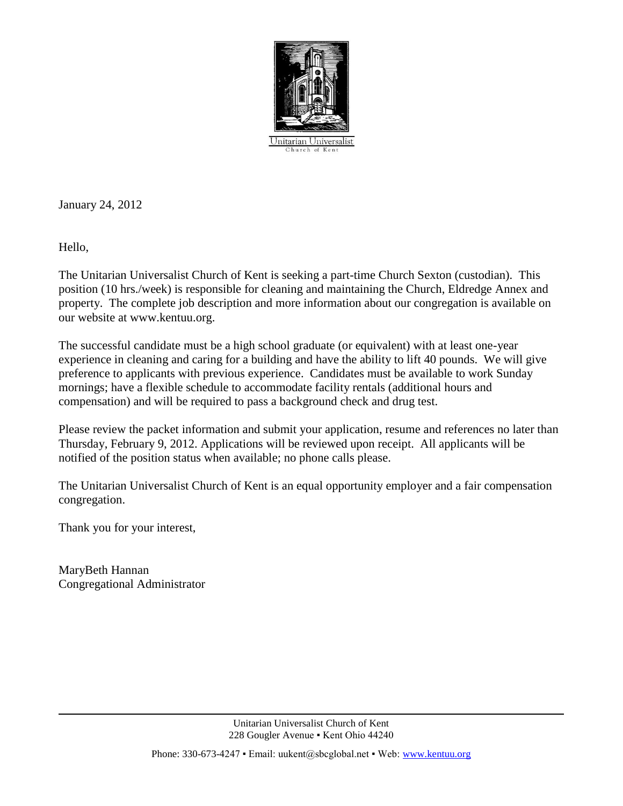

January 24, 2012

Hello,

The Unitarian Universalist Church of Kent is seeking a part-time Church Sexton (custodian). This position (10 hrs./week) is responsible for cleaning and maintaining the Church, Eldredge Annex and property. The complete job description and more information about our congregation is available on our website at www.kentuu.org.

The successful candidate must be a high school graduate (or equivalent) with at least one-year experience in cleaning and caring for a building and have the ability to lift 40 pounds. We will give preference to applicants with previous experience. Candidates must be available to work Sunday mornings; have a flexible schedule to accommodate facility rentals (additional hours and compensation) and will be required to pass a background check and drug test.

Please review the packet information and submit your application, resume and references no later than Thursday, February 9, 2012. Applications will be reviewed upon receipt. All applicants will be notified of the position status when available; no phone calls please.

The Unitarian Universalist Church of Kent is an equal opportunity employer and a fair compensation congregation.

Thank you for your interest,

MaryBeth Hannan Congregational Administrator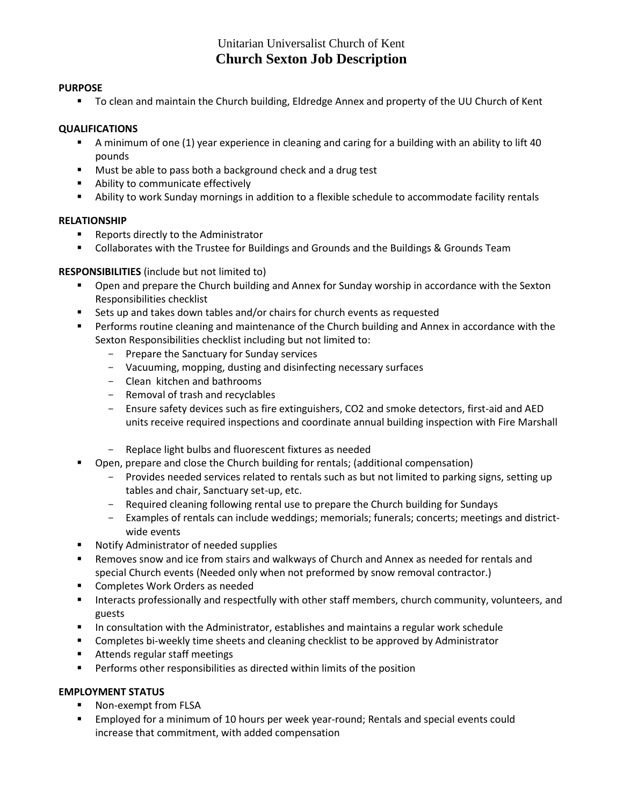# Unitarian Universalist Church of Kent **Church Sexton Job Description**

### **PURPOSE**

To clean and maintain the Church building, Eldredge Annex and property of the UU Church of Kent

### **QUALIFICATIONS**

- A minimum of one (1) year experience in cleaning and caring for a building with an ability to lift 40 pounds
- **Must be able to pass both a background check and a drug test**
- **Ability to communicate effectively**
- Ability to work Sunday mornings in addition to a flexible schedule to accommodate facility rentals

### **RELATIONSHIP**

- **Reports directly to the Administrator**
- Collaborates with the Trustee for Buildings and Grounds and the Buildings & Grounds Team

### **RESPONSIBILITIES** (include but not limited to)

- **•** Open and prepare the Church building and Annex for Sunday worship in accordance with the Sexton Responsibilities checklist
- Sets up and takes down tables and/or chairs for church events as requested
- **Performs routine cleaning and maintenance of the Church building and Annex in accordance with the** Sexton Responsibilities checklist including but not limited to:
	- Prepare the Sanctuary for Sunday services
	- Vacuuming, mopping, dusting and disinfecting necessary surfaces
	- Clean kitchen and bathrooms
	- Removal of trash and recyclables
	- Ensure safety devices such as fire extinguishers, CO2 and smoke detectors, first-aid and AED units receive required inspections and coordinate annual building inspection with Fire Marshall
	- Replace light bulbs and fluorescent fixtures as needed
- Open, prepare and close the Church building for rentals; (additional compensation)
	- Provides needed services related to rentals such as but not limited to parking signs, setting up tables and chair, Sanctuary set-up, etc.
	- Required cleaning following rental use to prepare the Church building for Sundays
	- Examples of rentals can include weddings; memorials; funerals; concerts; meetings and districtwide events
- **Notify Administrator of needed supplies**
- Removes snow and ice from stairs and walkways of Church and Annex as needed for rentals and special Church events (Needed only when not preformed by snow removal contractor.)
- **EXECOMPLETES Work Orders as needed**
- Interacts professionally and respectfully with other staff members, church community, volunteers, and guests
- In consultation with the Administrator, establishes and maintains a regular work schedule
- Completes bi-weekly time sheets and cleaning checklist to be approved by Administrator
- **Attends regular staff meetings**
- Performs other responsibilities as directed within limits of the position

# **EMPLOYMENT STATUS**

- Non-exempt from FLSA
- Employed for a minimum of 10 hours per week year-round; Rentals and special events could increase that commitment, with added compensation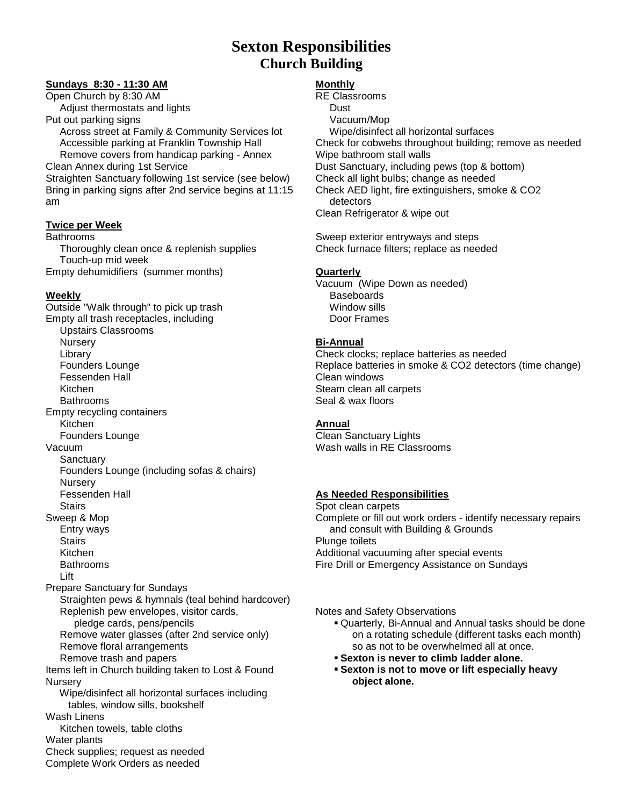# **Sexton Responsibilities Church Building**

### **Sundays 8:30 - 11:30 AM**

Open Church by 8:30 AM Adjust thermostats and lights

Put out parking signs Across street at Family & Community Services lot Accessible parking at Franklin Township Hall Remove covers from handicap parking - Annex

Clean Annex during 1st Service

Straighten Sanctuary following 1st service (see below) Bring in parking signs after 2nd service begins at 11:15 am

### **Twice per Week**

Bathrooms Thoroughly clean once & replenish supplies Touch-up mid week Empty dehumidifiers (summer months)

# **Weekly**

Outside "Walk through" to pick up trash Empty all trash receptacles, including Upstairs Classrooms **Nursery**  Library Founders Lounge Fessenden Hall Kitchen Bathrooms Empty recycling containers Kitchen Founders Lounge Vacuum **Sanctuary**  Founders Lounge (including sofas & chairs) **Nursery**  Fessenden Hall **Stairs** Sweep & Mop Entry ways **Stairs**  Kitchen Bathrooms Lift Prepare Sanctuary for Sundays Straighten pews & hymnals (teal behind hardcover) Replenish pew envelopes, visitor cards, pledge cards, pens/pencils Remove water glasses (after 2nd service only) Remove floral arrangements Remove trash and papers Items left in Church building taken to Lost & Found **Nursery**  Wipe/disinfect all horizontal surfaces including tables, window sills, bookshelf Wash Linens Kitchen towels, table cloths Water plants Check supplies; request as needed Complete Work Orders as needed

# **Monthly**

RE Classrooms Dust Vacuum/Mop Wipe/disinfect all horizontal surfaces Check for cobwebs throughout building; remove as needed Wipe bathroom stall walls Dust Sanctuary, including pews (top & bottom) Check all light bulbs; change as needed Check AED light, fire extinguishers, smoke & CO2 detectors Clean Refrigerator & wipe out

Sweep exterior entryways and steps Check furnace filters; replace as needed

# **Quarterly**

Vacuum (Wipe Down as needed) **Baseboards**  Window sills Door Frames

# **Bi-Annual**

Check clocks; replace batteries as needed Replace batteries in smoke & CO2 detectors (time change) Clean windows Steam clean all carpets Seal & wax floors

# **Annual**

Clean Sanctuary Lights Wash walls in RE Classrooms

# **As Needed Responsibilities**

Spot clean carpets Complete or fill out work orders - identify necessary repairs and consult with Building & Grounds Plunge toilets Additional vacuuming after special events Fire Drill or Emergency Assistance on Sundays

Notes and Safety Observations

- Quarterly, Bi-Annual and Annual tasks should be done on a rotating schedule (different tasks each month) so as not to be overwhelmed all at once.
- **Sexton is never to climb ladder alone.**
- **Sexton is not to move or lift especially heavy object alone.**